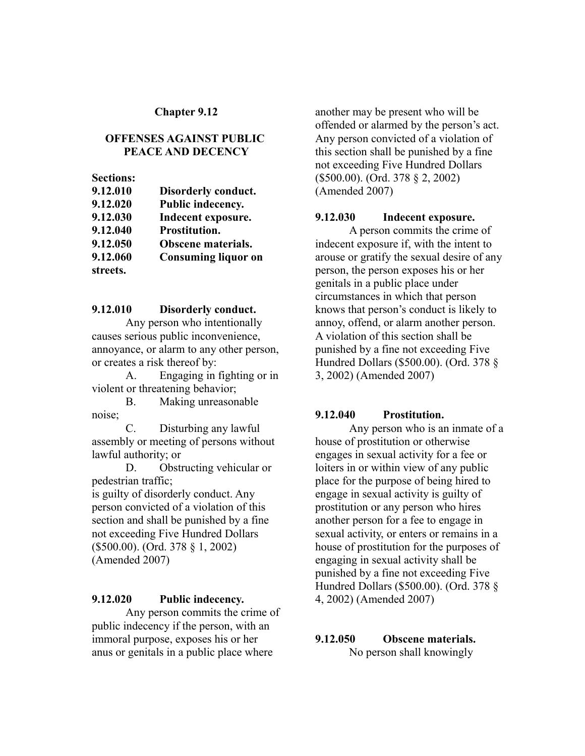## **Chapter 9.12**

### **OFFENSES AGAINST PUBLIC PEACE AND DECENCY**

**Sections:**

| Disorderly conduct.        |
|----------------------------|
| Public indecency.          |
| Indecent exposure.         |
| Prostitution.              |
| Obscene materials.         |
| <b>Consuming liquor on</b> |
|                            |
|                            |

# **9.12.010 Disorderly conduct.**

Any person who intentionally causes serious public inconvenience, annoyance, or alarm to any other person, or creates a risk thereof by:

A. Engaging in fighting or in violent or threatening behavior;

B. Making unreasonable noise;

C. Disturbing any lawful assembly or meeting of persons without lawful authority; or

D. Obstructing vehicular or pedestrian traffic;

is guilty of disorderly conduct. Any person convicted of a violation of this section and shall be punished by a fine not exceeding Five Hundred Dollars (\$500.00). (Ord. 378 § 1, 2002) (Amended 2007)

## **9.12.020 Public indecency.**

Any person commits the crime of public indecency if the person, with an immoral purpose, exposes his or her anus or genitals in a public place where

another may be present who will be offended or alarmed by the person's act. Any person convicted of a violation of this section shall be punished by a fine not exceeding Five Hundred Dollars (\$500.00). (Ord. 378 § 2, 2002) (Amended 2007)

#### **9.12.030 Indecent exposure.**

A person commits the crime of indecent exposure if, with the intent to arouse or gratify the sexual desire of any person, the person exposes his or her genitals in a public place under circumstances in which that person knows that person's conduct is likely to annoy, offend, or alarm another person. A violation of this section shall be punished by a fine not exceeding Five Hundred Dollars (\$500.00). (Ord. 378 § 3, 2002) (Amended 2007)

# **9.12.040 Prostitution.**

Any person who is an inmate of a house of prostitution or otherwise engages in sexual activity for a fee or loiters in or within view of any public place for the purpose of being hired to engage in sexual activity is guilty of prostitution or any person who hires another person for a fee to engage in sexual activity, or enters or remains in a house of prostitution for the purposes of engaging in sexual activity shall be punished by a fine not exceeding Five Hundred Dollars (\$500.00). (Ord. 378 § 4, 2002) (Amended 2007)

**9.12.050 Obscene materials.** No person shall knowingly